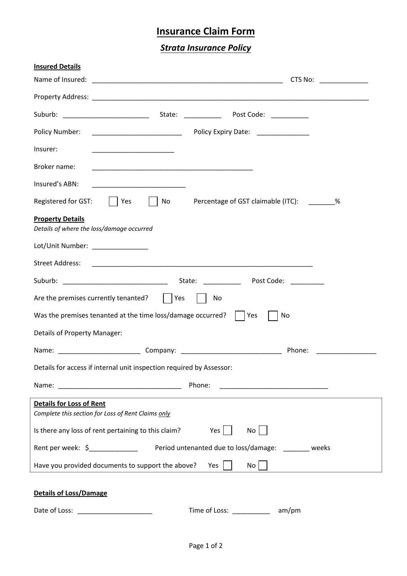## **Insurance Claim Form**

*Strata Insurance Policy*

| <b>Insured Details</b><br>Name of Insured:<br>CTS No:<br><u> 1990 - Johann Barbara, martin a</u>                                                                                                                                                 |  |  |  |  |
|--------------------------------------------------------------------------------------------------------------------------------------------------------------------------------------------------------------------------------------------------|--|--|--|--|
|                                                                                                                                                                                                                                                  |  |  |  |  |
|                                                                                                                                                                                                                                                  |  |  |  |  |
| Policy Expiry Date: ______________<br>Policy Number:                                                                                                                                                                                             |  |  |  |  |
| Insurer:<br><u> 1989 - Johann John Harry Harry Harry Harry Harry Harry Harry Harry Harry Harry Harry Harry Harry Harry Harry Harry Harry Harry Harry Harry Harry Harry Harry Harry Harry Harry Harry Harry Harry Harry Harry Harry Harry Har</u> |  |  |  |  |
| Broker name:                                                                                                                                                                                                                                     |  |  |  |  |
| Insured's ABN:<br><u> 1989 - Johann John Harry Harry Harry Harry Harry Harry Harry Harry Harry Harry Harry Harry Harry Harry Harry H</u>                                                                                                         |  |  |  |  |
| Registered for GST:<br>No<br>Percentage of GST claimable (ITC): %<br>Yes                                                                                                                                                                         |  |  |  |  |
| <b>Property Details</b><br>Details of where the loss/damage occurred                                                                                                                                                                             |  |  |  |  |
| Lot/Unit Number: ______________                                                                                                                                                                                                                  |  |  |  |  |
| <b>Street Address:</b>                                                                                                                                                                                                                           |  |  |  |  |
| Suburb: _______________________________<br>State:<br>Post Code:                                                                                                                                                                                  |  |  |  |  |
| Are the premises currently tenanted?<br>Yes<br>No                                                                                                                                                                                                |  |  |  |  |
| Was the premises tenanted at the time loss/damage occurred?<br>No<br>Yes                                                                                                                                                                         |  |  |  |  |
| Details of Property Manager:                                                                                                                                                                                                                     |  |  |  |  |
| Phone:                                                                                                                                                                                                                                           |  |  |  |  |
| Details for access if internal unit inspection required by Assessor:                                                                                                                                                                             |  |  |  |  |
| Phone:                                                                                                                                                                                                                                           |  |  |  |  |
| <b>Details for Loss of Rent</b><br>Complete this section for Loss of Rent Claims only                                                                                                                                                            |  |  |  |  |
| Is there any loss of rent pertaining to this claim?<br>Yes $\vert$ $\vert$<br>No                                                                                                                                                                 |  |  |  |  |
| Rent per week: \$<br>1990 - Period untenanted due to loss/damage: 2008. [1990] weeks                                                                                                                                                             |  |  |  |  |
| Have you provided documents to support the above?<br>$No$    <br>Yes                                                                                                                                                                             |  |  |  |  |
| <b>Details of Loss/Damage</b>                                                                                                                                                                                                                    |  |  |  |  |
| Time of Loss: ______________ am/pm                                                                                                                                                                                                               |  |  |  |  |